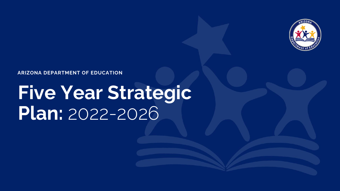

#### **ARIZONA DEPARTMENT OF EDUCATION**

# **Five Year Strategic Plan:** 2022-2026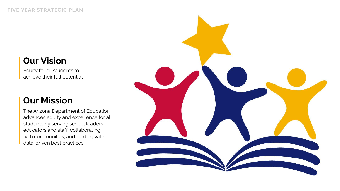### **Our Vision**

Equity for all students to achieve their full potential.

### **Our Mission**

The Arizona Department of Education advances equity and excellence for all students by serving school leaders, educators and staff, collaborating with communities, and leading with data-driven best practices.

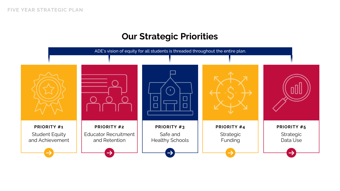### **Our Strategic Priorities**

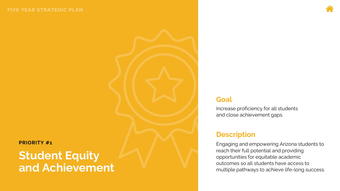#### <span id="page-3-0"></span>**PRIORITY #1**

### **Student Equity and Achievement**

#### **Goal**

Increase proficiency for all students and close achievement gaps.

### **Description**

Engaging and empowering Arizona students to reach their full potential and providing opportunities for equitable academic outcomes so all students have access to multiple pathways to achieve life -long success.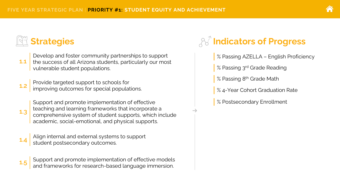

**1.3**

Develop and foster community partnerships to support the success of all Arizona students, particularly our most vulnerable student populations.

Provide targeted support to schools for **1.2** increase targeted support to sensols for  $\frac{1.2}{\frac{1.2}{\frac{1.2}{\frac{1.2}{\cdots}}}}$ 

> Support and promote implementation of effective teaching and learning frameworks that incorporate a comprehensive system of student supports, which include academic, social-emotional, and physical supports.

**1.4** Align internal and external systems to support student postsecondary outcomes.



**Support and promote imple and frameworks for research-base.** Support and promote implementation of effective models and frameworks for research-based language immersion. **1.5**

### *A***<sup>2</sup>** Indicators of Progress

% Passing AZELLA – English Proficiency

% Passing 3<sup>rd</sup> Grade Reading

% Passing 8<sup>th</sup> Grade Math

% 4-Year Cohort Graduation Rate

% Postsecondary Enrollment

v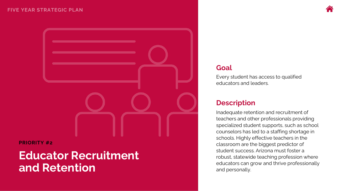

<span id="page-5-0"></span>

#### **PRIORITY #2**

### **Educator Recruitment and Retention**

#### **Goal**

Every student has access to qualified educators and leaders.

#### **Description**

Inadequate retention and recruitment of teachers and other professionals providing specialized student supports, such as school counselors has led to a staffing shortage in schools. Highly effective teachers in the classroom are the biggest predictor of student success. Arizona must foster a robust, statewide teaching profession where educators can grow and thrive professionally and personally.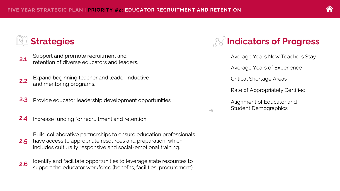- Support and promote recruitment and retention of diverse educators and leaders. **2.1**
- Expand beginning teacher and leader inductive and mentoring programs. **2.2**
- **2.3** Provide educator leadership development opportunities.

**2.4** Increase funding for recruitment and retention.

Build collaborative partnerships to ensure education professionals have access to appropriate resources and preparation, which includes culturally responsive and social-emotional training. **2.5**

Identify and facilitate opportunities to leverage state resources to support the educator workforce (benefits, facilities, procurement). **2.6**

### *A***<sup>2</sup>** Indicators of Progress

Average Years New Teachers Stay

Average Years of Experience

Critical Shortage Areas

Rate of Appropriately Certified

Alignment of Educator and Student Demographics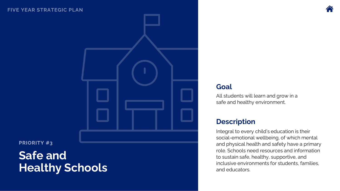<span id="page-7-0"></span>

**PRIORITY #3** 

## **Safe and Healthy Schools**

#### **Goal**

All students will learn and grow in a safe and healthy environment.

### **Description**

Integral to every child's education is their social -emotional wellbeing, of which mental and physical health and safety have a primary role. Schools need resources and information to sustain safe, healthy, supportive, and inclusive environments for students, families, and educators.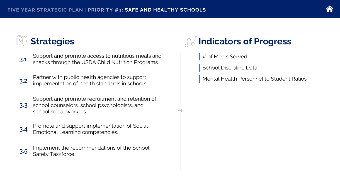| i. |  |
|----|--|

Support and promote access to nutritious meals and snacks through the USDA Child Nutrition Programs. **3.1**

Partner with public health agencies to support implementation of health standards in schools. **3.2**

Support and promote recruitment and retention of school counselors, school psychologists, and school social workers. **3.3**



Promote and support implementation of Social Emotional Learning competencies. **3.4**

Implement the recommendations of the School **3.5** Safety Taskforce.

### **Indicators of Progress**

# of Meals Served

v

School Discipline Data

Mental Health Personnel to Student Ratios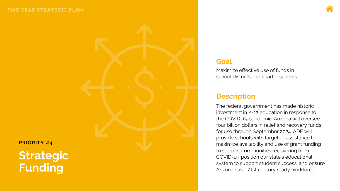<span id="page-9-0"></span>

#### **Goal**

Maximize effective use of funds in school districts and charter schools.

#### **Description**

The federal government has made historic investment in K -12 education in response to the COVID -19 pandemic. Arizona will oversee four billion dollars in relief and recovery funds for use through September 2024. ADE will provide schools with targeted assistance to maximize availability and use of grant funding to support communities recovering from COVID -19, position our state's educational system to support student success, and ensure Arizona has a 21st century ready workforce.

**PRIORITY #4**

**Strategic Funding**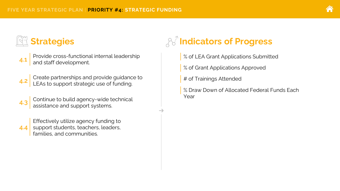- Provide cross-functional internal leadership and staff development. **4.1**
- Create partnerships and provide guidance to LEAs to support strategic use of funding. **4.2**
- Continue to build agency-wide technical assistance and support systems. **4.3**

Effectively utilize agency funding to support students, teachers, leaders, families, and communities. **4.4**

### *A***<sup>2</sup>** Indicators of Progress

- % of LEA Grant Applications Submitted
- % of Grant Applications Approved
- # of Trainings Attended

v

% Draw Down of Allocated Federal Funds Each Year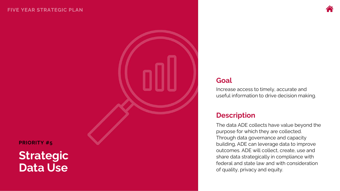<span id="page-11-0"></span>

**PRIORITY #5**

### **Strategic Data Use**

#### **Goal**

Increase access to timely, accurate and useful information to drive decision making.

#### **Description**

The data ADE collects have value beyond the purpose for which they are collected. Through data governance and capacity building, ADE can leverage data to improve outcomes. ADE will collect, create, use and share data strategically in compliance with federal and state law and with consideration of quality, privacy and equity.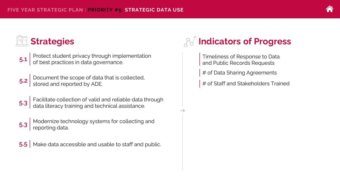Protect student privacy through implementation of best practices in data governance. **5.1**

- Document the scope of data that is collected, stored and reported by ADE. **5.2**
- Facilitate collection of valid and reliable data through data literacy training and technical assistance. **5.3**

Modernize technology systems for collecting and **5.3** reporting data.

**5.5** Make data accessible and usable to staff and public.

### **Indicators of Progress**

Timeliness of Response to Data and Public Records Requests

# of Data Sharing Agreements

v

# of Staff and Stakeholders Trained